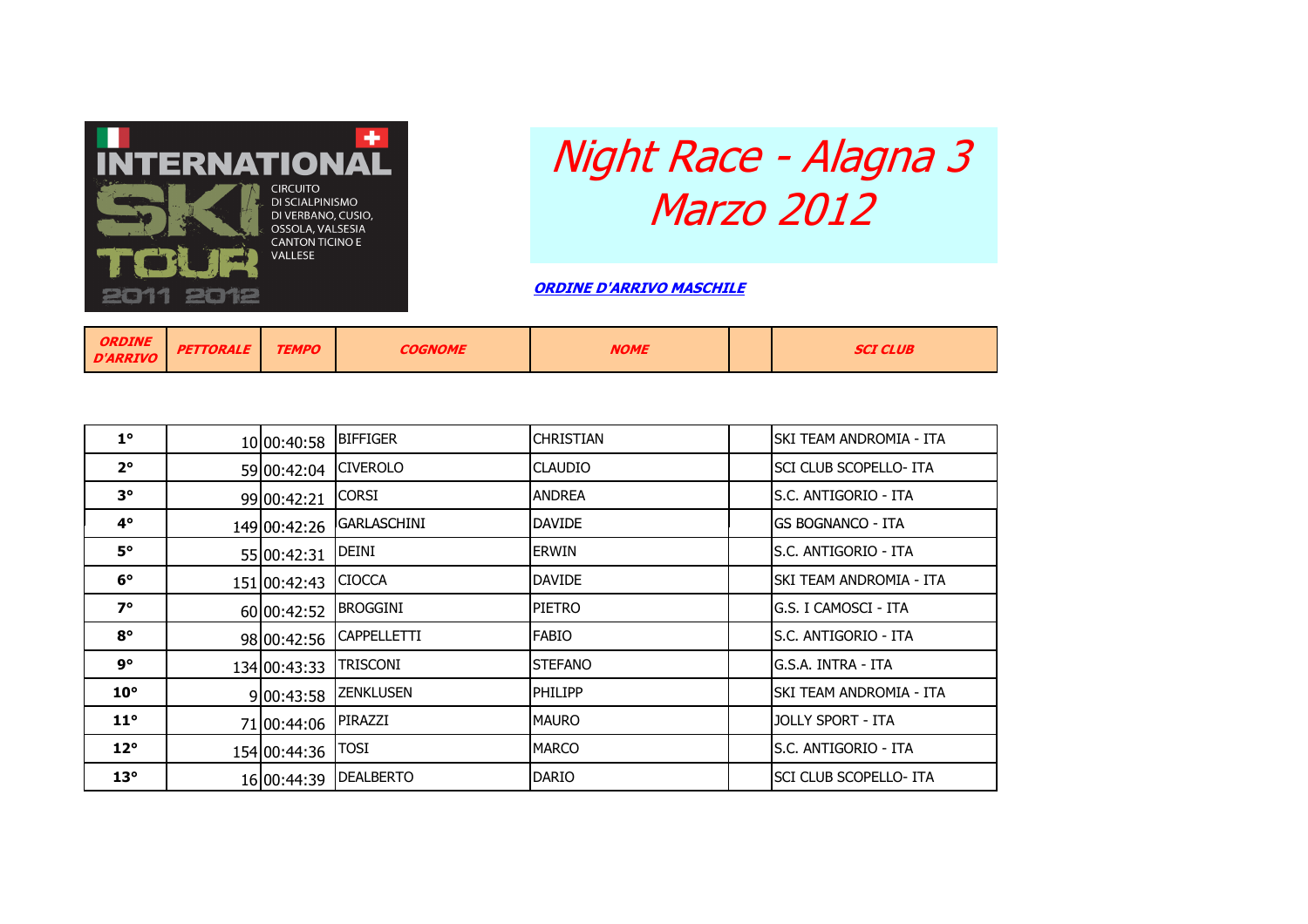

## Night Race - Alagna 3 Marzo 2012

ORDINE D'ARRIVO MASCHILE

| <b>ORDINE</b><br>D'ARRIVO II | <b>PETTORALE</b> | <b>TEMPO</b> | <b>COGNOME</b> | <b>NOME</b> |  | <b>SCI CLUB</b> |
|------------------------------|------------------|--------------|----------------|-------------|--|-----------------|
|------------------------------|------------------|--------------|----------------|-------------|--|-----------------|

| $1^{\circ}$  | 10 00:40:58  | <b>BIFFIGER</b>    | <b>CHRISTIAN</b> | ISKI TEAM ANDROMIA - ITA |
|--------------|--------------|--------------------|------------------|--------------------------|
| $2^{\circ}$  | 59 00:42:04  | <b>CIVEROLO</b>    | <b>CLAUDIO</b>   | SCI CLUB SCOPELLO- ITA   |
| $3^{\circ}$  | 99 00:42:21  | <b>CORSI</b>       | <b>ANDREA</b>    | ls.C. ANTIGORIO - ITA    |
| 4°           | 149 00:42:26 | <b>GARLASCHINI</b> | <b>DAVIDE</b>    | igs Bognanco - Ita       |
| <b>5°</b>    | 55 00:42:31  | DEINI              | <b>ERWIN</b>     | S.C. ANTIGORIO - ITA     |
| $6^{\circ}$  | 151 00:42:43 | <b>CIOCCA</b>      | <b>DAVIDE</b>    | ISKI TEAM ANDROMIA - ITA |
| $7^\circ$    | 60 00:42:52  | <b>BROGGINI</b>    | <b>PIETRO</b>    | G.S. I CAMOSCI - ITA     |
| $8^{\circ}$  | 98 00:42:56  | <b>CAPPELLETTI</b> | <b>FABIO</b>     | ls.C. Antigorio - Ita    |
| 9°           | 134 00:43:33 | <b>TRISCONI</b>    | <b>STEFANO</b>   | lg.S.A. INTRA - ITA      |
| $10^{\circ}$ | 9 00:43:58   | <b>ZENKLUSEN</b>   | <b>PHILIPP</b>   | ISKI TEAM ANDROMIA - ITA |
| $11^{\circ}$ | 71 00:44:06  | PIRAZZI            | <b>MAURO</b>     | <b>JOLLY SPORT - ITA</b> |
| $12^{\circ}$ | 154 00:44:36 | <b>TOSI</b>        | <b>MARCO</b>     | S.C. ANTIGORIO - ITA     |
| $13^\circ$   | 16 00:44:39  | <b>DEALBERTO</b>   | <b>DARIO</b>     | ISCI CLUB SCOPELLO- ITA  |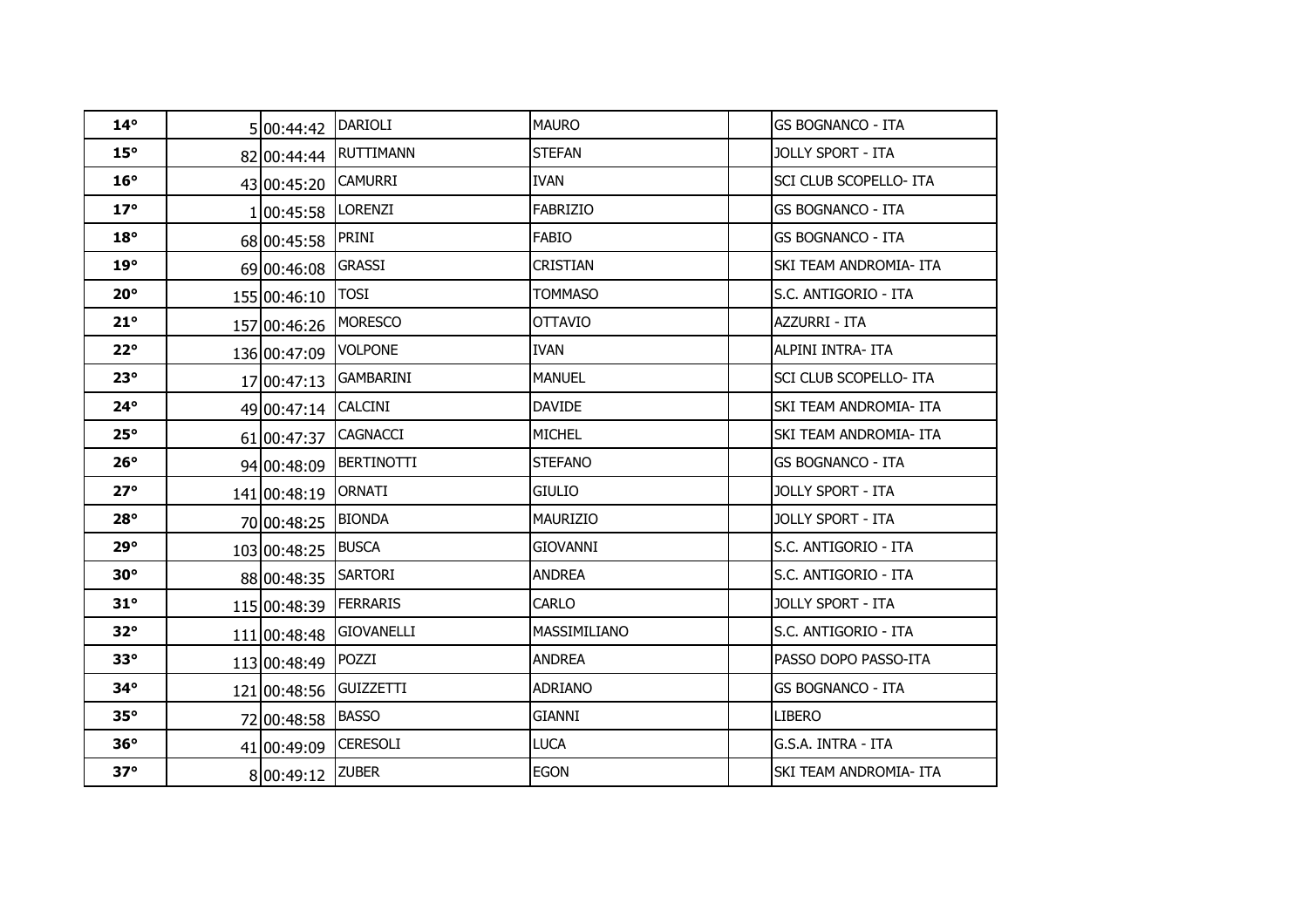| $14^{\circ}$ | 5 00:44:42   | <b>DARIOLI</b>    | <b>MAURO</b>    | <b>GS BOGNANCO - ITA</b>      |
|--------------|--------------|-------------------|-----------------|-------------------------------|
| $15^\circ$   | 82 00:44:44  | <b>RUTTIMANN</b>  | <b>STEFAN</b>   | JOLLY SPORT - ITA             |
| $16^{\circ}$ | 43 00:45:20  | <b>CAMURRI</b>    | <b>IVAN</b>     | <b>SCI CLUB SCOPELLO- ITA</b> |
| $17^\circ$   | 1 00:45:58   | LORENZI           | <b>FABRIZIO</b> | <b>GS BOGNANCO - ITA</b>      |
| $18^{\circ}$ | 68 00:45:58  | PRINI             | <b>FABIO</b>    | <b>GS BOGNANCO - ITA</b>      |
| $19^\circ$   | 69 00:46:08  | <b>GRASSI</b>     | <b>CRISTIAN</b> | SKI TEAM ANDROMIA- ITA        |
| $20^{\circ}$ | 155 00:46:10 | <b>TOSI</b>       | <b>TOMMASO</b>  | S.C. ANTIGORIO - ITA          |
| $21^\circ$   | 157 00:46:26 | <b>MORESCO</b>    | <b>OTTAVIO</b>  | AZZURRI - ITA                 |
| $22^{\circ}$ | 136 00:47:09 | <b>VOLPONE</b>    | <b>IVAN</b>     | ALPINI INTRA- ITA             |
| $23^\circ$   | 17 00:47:13  | <b>GAMBARINI</b>  | <b>MANUEL</b>   | <b>SCI CLUB SCOPELLO- ITA</b> |
| $24^\circ$   | 49 00:47:14  | <b>CALCINI</b>    | <b>DAVIDE</b>   | SKI TEAM ANDROMIA- ITA        |
| $25^\circ$   | 61 00:47:37  | <b>CAGNACCI</b>   | <b>MICHEL</b>   | SKI TEAM ANDROMIA- ITA        |
| $26^\circ$   | 94 00:48:09  | <b>BERTINOTTI</b> | <b>STEFANO</b>  | <b>GS BOGNANCO - ITA</b>      |
| $27^\circ$   | 141 00:48:19 | <b>ORNATI</b>     | <b>GIULIO</b>   | <b>JOLLY SPORT - ITA</b>      |
| $28^\circ$   | 70 00:48:25  | <b>BIONDA</b>     | <b>MAURIZIO</b> | JOLLY SPORT - ITA             |
| 29°          | 103 00:48:25 | <b>BUSCA</b>      | <b>GIOVANNI</b> | S.C. ANTIGORIO - ITA          |
| $30^\circ$   | 88 00:48:35  | <b>SARTORI</b>    | <b>ANDREA</b>   | S.C. ANTIGORIO - ITA          |
| $31^\circ$   | 115 00:48:39 | <b>FERRARIS</b>   | CARLO           | JOLLY SPORT - ITA             |
| $32^\circ$   | 111 00:48:48 | <b>GIOVANELLI</b> | MASSIMILIANO    | S.C. ANTIGORIO - ITA          |
| $33^\circ$   | 113 00:48:49 | POZZI             | <b>ANDREA</b>   | PASSO DOPO PASSO-ITA          |
| $34^\circ$   | 121 00:48:56 | <b>GUIZZETTI</b>  | <b>ADRIANO</b>  | <b>GS BOGNANCO - ITA</b>      |
| $35^\circ$   | 72 00:48:58  | <b>BASSO</b>      | GIANNI          | <b>LIBERO</b>                 |
| $36^\circ$   | 41 00:49:09  | <b>CERESOLI</b>   | <b>LUCA</b>     | G.S.A. INTRA - ITA            |
| $37^\circ$   | 8 00:49:12   | <b>ZUBER</b>      | <b>EGON</b>     | <b>SKI TEAM ANDROMIA- ITA</b> |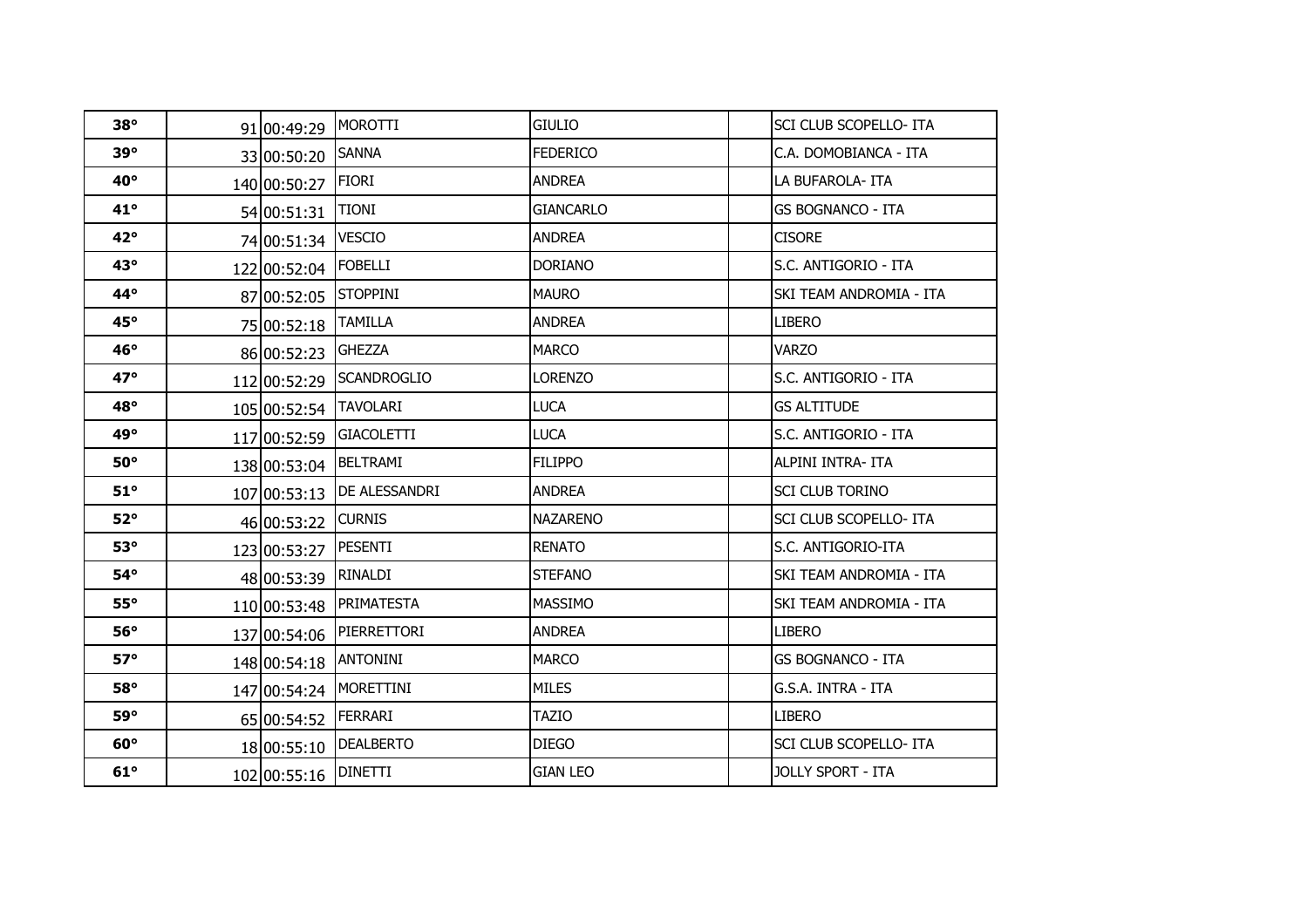| $38^\circ$   | 91 00:49:29  | MOROTTI                  | <b>GIULIO</b>    | <b>SCI CLUB SCOPELLO- ITA</b> |
|--------------|--------------|--------------------------|------------------|-------------------------------|
| $39^\circ$   | 33 00:50:20  | <b>SANNA</b>             | <b>FEDERICO</b>  | C.A. DOMOBIANCA - ITA         |
| $40^{\circ}$ | 140 00:50:27 | <b>FIORI</b>             | <b>ANDREA</b>    | LA BUFAROLA-ITA               |
| $41^{\circ}$ | 54 00:51:31  | <b>TIONI</b>             | <b>GIANCARLO</b> | <b>GS BOGNANCO - ITA</b>      |
| $42^{\circ}$ | 74 00:51:34  | <b>VESCIO</b>            | <b>ANDREA</b>    | <b>CISORE</b>                 |
| $43^\circ$   | 122 00:52:04 | FOBELLI                  | <b>DORIANO</b>   | S.C. ANTIGORIO - ITA          |
| $44^\circ$   | 87 00:52:05  | <b>STOPPINI</b>          | <b>MAURO</b>     | SKI TEAM ANDROMIA - ITA       |
| $45^\circ$   | 75 00:52:18  | <b>TAMILLA</b>           | <b>ANDREA</b>    | <b>LIBERO</b>                 |
| $46^\circ$   | 86 00:52:23  | <b>GHEZZA</b>            | <b>MARCO</b>     | <b>VARZO</b>                  |
| $47^\circ$   |              | 112 00:52:29 SCANDROGLIO | <b>LORENZO</b>   | S.C. ANTIGORIO - ITA          |
| $48^\circ$   | 105 00:52:54 | <b>TAVOLARI</b>          | <b>LUCA</b>      | <b>GS ALTITUDE</b>            |
| $49^\circ$   | 117 00:52:59 | <b>GIACOLETTI</b>        | <b>LUCA</b>      | IS.C. ANTIGORIO - ITA         |
| $50^\circ$   | 138 00:53:04 | <b>BELTRAMI</b>          | <b>FILIPPO</b>   | ALPINI INTRA- ITA             |
| $51^\circ$   | 107 00:53:13 | DE ALESSANDRI            | <b>ANDREA</b>    | <b>SCI CLUB TORINO</b>        |
| $52^\circ$   | 46 00:53:22  | <b>CURNIS</b>            | <b>NAZARENO</b>  | <b>SCI CLUB SCOPELLO- ITA</b> |
| $53^\circ$   | 123 00:53:27 | <b>PESENTI</b>           | <b>RENATO</b>    | S.C. ANTIGORIO-ITA            |
| $54^\circ$   | 48 00:53:39  | RINALDI                  | <b>STEFANO</b>   | SKI TEAM ANDROMIA - ITA       |
| $55^\circ$   | 110 00:53:48 | <b>PRIMATESTA</b>        | <b>MASSIMO</b>   | SKI TEAM ANDROMIA - ITA       |
| $56^\circ$   | 137 00:54:06 | PIERRETTORI              | <b>ANDREA</b>    | <b>LIBERO</b>                 |
| $57^\circ$   | 148 00:54:18 | ANTONINI                 | <b>MARCO</b>     | <b>GS BOGNANCO - ITA</b>      |
| 58°          | 147 00:54:24 | <b>MORETTINI</b>         | <b>MILES</b>     | G.S.A. INTRA - ITA            |
| 59°          | 65 00:54:52  | <b>FERRARI</b>           | <b>TAZIO</b>     | <b>LIBERO</b>                 |
| $60^\circ$   | 18 00:55:10  | <b>DEALBERTO</b>         | <b>DIEGO</b>     | SCI CLUB SCOPELLO- ITA        |
| $61^\circ$   | 102 00:55:16 | <b>DINETTI</b>           | <b>GIAN LEO</b>  | <b>JOLLY SPORT - ITA</b>      |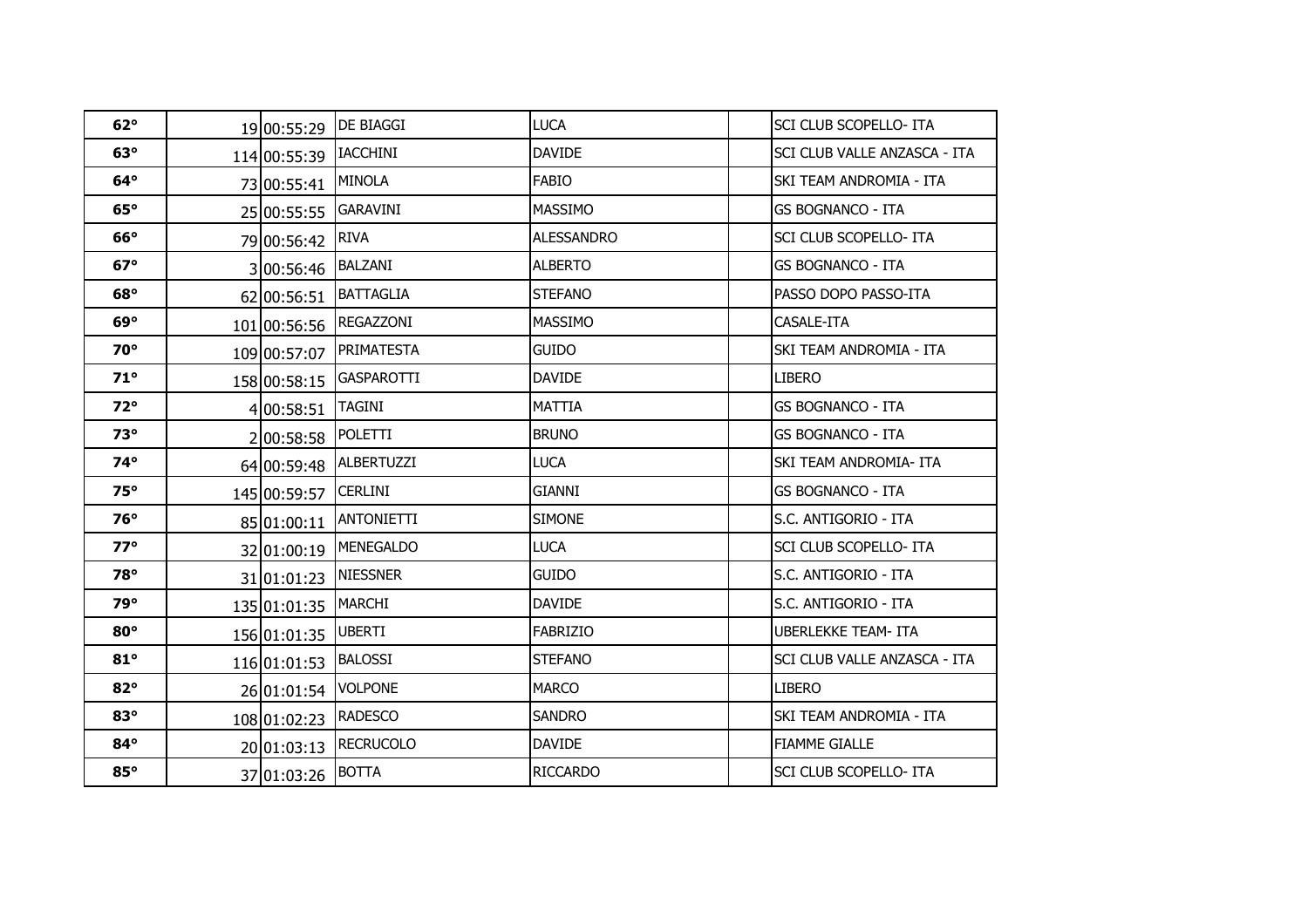| $62^\circ$ | 19 00:55:29  | <b>DE BIAGGI</b>  | <b>LUCA</b>       | <b>SCI CLUB SCOPELLO- ITA</b>       |
|------------|--------------|-------------------|-------------------|-------------------------------------|
| $63^\circ$ | 114 00:55:39 | <b>IACCHINI</b>   | <b>DAVIDE</b>     | SCI CLUB VALLE ANZASCA - ITA        |
| $64^\circ$ | 73 00:55:41  | <b>MINOLA</b>     | <b>FABIO</b>      | SKI TEAM ANDROMIA - ITA             |
| $65^\circ$ | 25 00:55:55  | <b>GARAVINI</b>   | <b>MASSIMO</b>    | <b>GS BOGNANCO - ITA</b>            |
| $66^\circ$ | 79 00:56:42  | <b>RIVA</b>       | <b>ALESSANDRO</b> | SCI CLUB SCOPELLO- ITA              |
| $67^\circ$ | 3 00:56:46   | BALZANI           | <b>ALBERTO</b>    | GS BOGNANCO - ITA                   |
| $68^\circ$ | 62 00:56:51  | <b>BATTAGLIA</b>  | <b>STEFANO</b>    | PASSO DOPO PASSO-ITA                |
| $69^\circ$ | 101 00:56:56 | REGAZZONI         | <b>MASSIMO</b>    | CASALE-ITA                          |
| $70^\circ$ | 109 00:57:07 | PRIMATESTA        | <b>GUIDO</b>      | SKI TEAM ANDROMIA - ITA             |
| $71^\circ$ | 158 00:58:15 | <b>GASPAROTTI</b> | <b>DAVIDE</b>     | <b>LIBERO</b>                       |
| $72^\circ$ | 4 00:58:51   | <b>TAGINI</b>     | <b>MATTIA</b>     | <b>GS BOGNANCO - ITA</b>            |
| $73^\circ$ | 200:58:58    | POLETTI           | <b>BRUNO</b>      | <b>GS BOGNANCO - ITA</b>            |
| $74^\circ$ | 64 00:59:48  | <b>ALBERTUZZI</b> | <b>LUCA</b>       | SKI TEAM ANDROMIA- ITA              |
| $75^\circ$ | 145 00:59:57 | <b>CERLINI</b>    | <b>GIANNI</b>     | <b>GS BOGNANCO - ITA</b>            |
| $76^\circ$ | 85 01:00:11  | <b>ANTONIETTI</b> | <b>SIMONE</b>     | S.C. ANTIGORIO - ITA                |
| $77^\circ$ | 32 01:00:19  | <b>MENEGALDO</b>  | <b>LUCA</b>       | SCI CLUB SCOPELLO- ITA              |
| 78°        | 31 01:01:23  | <b>NIESSNER</b>   | <b>GUIDO</b>      | S.C. ANTIGORIO - ITA                |
| 79°        | 135 01:01:35 | <b>MARCHI</b>     | <b>DAVIDE</b>     | S.C. ANTIGORIO - ITA                |
| $80^\circ$ | 156 01:01:35 | <b>UBERTI</b>     | <b>FABRIZIO</b>   | <b>UBERLEKKE TEAM- ITA</b>          |
| $81^\circ$ | 116 01:01:53 | <b>BALOSSI</b>    | <b>STEFANO</b>    | <b>SCI CLUB VALLE ANZASCA - ITA</b> |
| $82^\circ$ | 26 01:01:54  | <b>VOLPONE</b>    | <b>MARCO</b>      | <b>LIBERO</b>                       |
| $83^\circ$ | 108 01:02:23 | <b>RADESCO</b>    | <b>SANDRO</b>     | SKI TEAM ANDROMIA - ITA             |
| $84^\circ$ | 20 01:03:13  | <b>RECRUCOLO</b>  | <b>DAVIDE</b>     | <b>FIAMME GIALLE</b>                |
| $85^\circ$ | 37 01:03:26  | <b>BOTTA</b>      | <b>RICCARDO</b>   | SCI CLUB SCOPELLO- ITA              |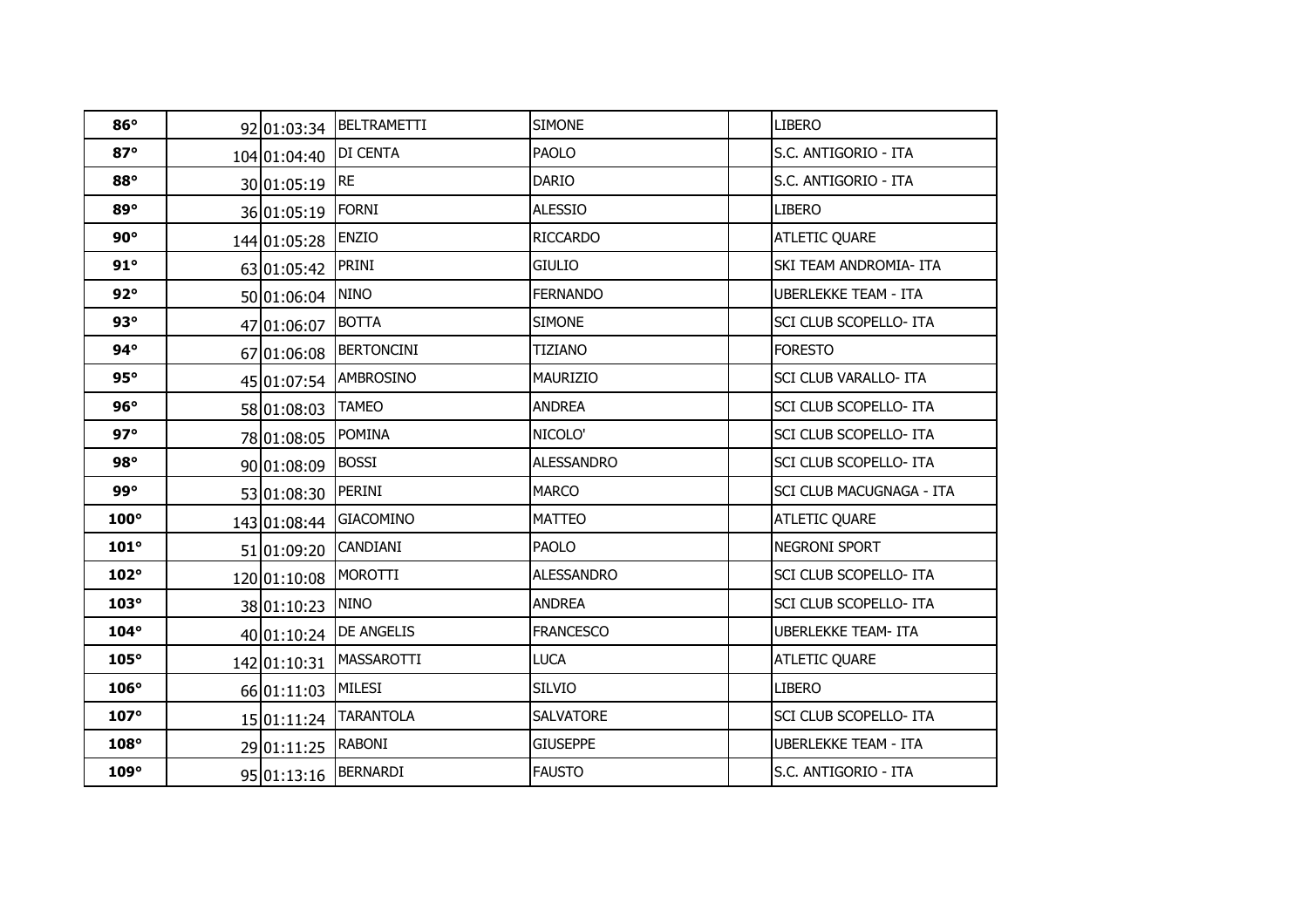| $86^\circ$  |                       | 92 01:03:34  BELTRAMETTI | <b>SIMONE</b>     | <b>LIBERO</b>               |
|-------------|-----------------------|--------------------------|-------------------|-----------------------------|
| $87^\circ$  | 104 01:04:40 DI CENTA |                          | <b>PAOLO</b>      | S.C. ANTIGORIO - ITA        |
| 88°         | 30 01:05:19 RE        |                          | <b>DARIO</b>      | S.C. ANTIGORIO - ITA        |
| $89^\circ$  | 36 01:05:19 FORNI     |                          | <b>ALESSIO</b>    | <b>LIBERO</b>               |
| $90^\circ$  | 144 01:05:28          | <b>ENZIO</b>             | <b>RICCARDO</b>   | <b>ATLETIC QUARE</b>        |
| 91°         | 63 01:05:42 PRINI     |                          | <b>GIULIO</b>     | SKI TEAM ANDROMIA- ITA      |
| $92^\circ$  | 50 01:06:04           | <b>NINO</b>              | <b>FERNANDO</b>   | <b>UBERLEKKE TEAM - ITA</b> |
| $93^\circ$  | 47 01:06:07 BOTTA     |                          | <b>SIMONE</b>     | SCI CLUB SCOPELLO- ITA      |
| $94^\circ$  |                       | 67 01:06:08 BERTONCINI   | <b>TIZIANO</b>    | <b>FORESTO</b>              |
| 95°         |                       | 45 01:07:54 AMBROSINO    | <b>MAURIZIO</b>   | SCI CLUB VARALLO- ITA       |
| $96^\circ$  | 58 01:08:03           | <b>TAMEO</b>             | <b>ANDREA</b>     | SCI CLUB SCOPELLO- ITA      |
| $97^\circ$  | 78 01:08:05           | <b>POMINA</b>            | NICOLO'           | SCI CLUB SCOPELLO- ITA      |
| $98^\circ$  | 90 01:08:09           | <b>BOSSI</b>             | <b>ALESSANDRO</b> | SCI CLUB SCOPELLO- ITA      |
| 99°         | 53 01:08:30 PERINI    |                          | <b>MARCO</b>      | SCI CLUB MACUGNAGA - ITA    |
| $100^\circ$ |                       | 143 01:08:44 GIACOMINO   | <b>MATTEO</b>     | <b>ATLETIC QUARE</b>        |
| $101^\circ$ | 51 01:09:20 CANDIANI  |                          | <b>PAOLO</b>      | NEGRONI SPORT               |
| $102^\circ$ | 120 01:10:08 MOROTTI  |                          | <b>ALESSANDRO</b> | SCI CLUB SCOPELLO- ITA      |
| $103^\circ$ | 38 01:10:23           | <b>NINO</b>              | <b>ANDREA</b>     | SCI CLUB SCOPELLO- ITA      |
| $104^\circ$ |                       | 40 01:10:24   DE ANGELIS | <b>FRANCESCO</b>  | <b>UBERLEKKE TEAM- ITA</b>  |
| $105^\circ$ | 142 01:10:31          | MASSAROTTI               | <b>LUCA</b>       | <b>ATLETIC QUARE</b>        |
| $106^\circ$ | 66 01:11:03 MILESI    |                          | <b>SILVIO</b>     | <b>LIBERO</b>               |
| $107^\circ$ |                       | 15 01:11:24 TARANTOLA    | <b>SALVATORE</b>  | SCI CLUB SCOPELLO- ITA      |
| $108^\circ$ | 29 01:11:25 RABONI    |                          | <b>GIUSEPPE</b>   | <b>UBERLEKKE TEAM - ITA</b> |
| $109^\circ$ |                       | 95 01:13:16 BERNARDI     | <b>FAUSTO</b>     | S.C. ANTIGORIO - ITA        |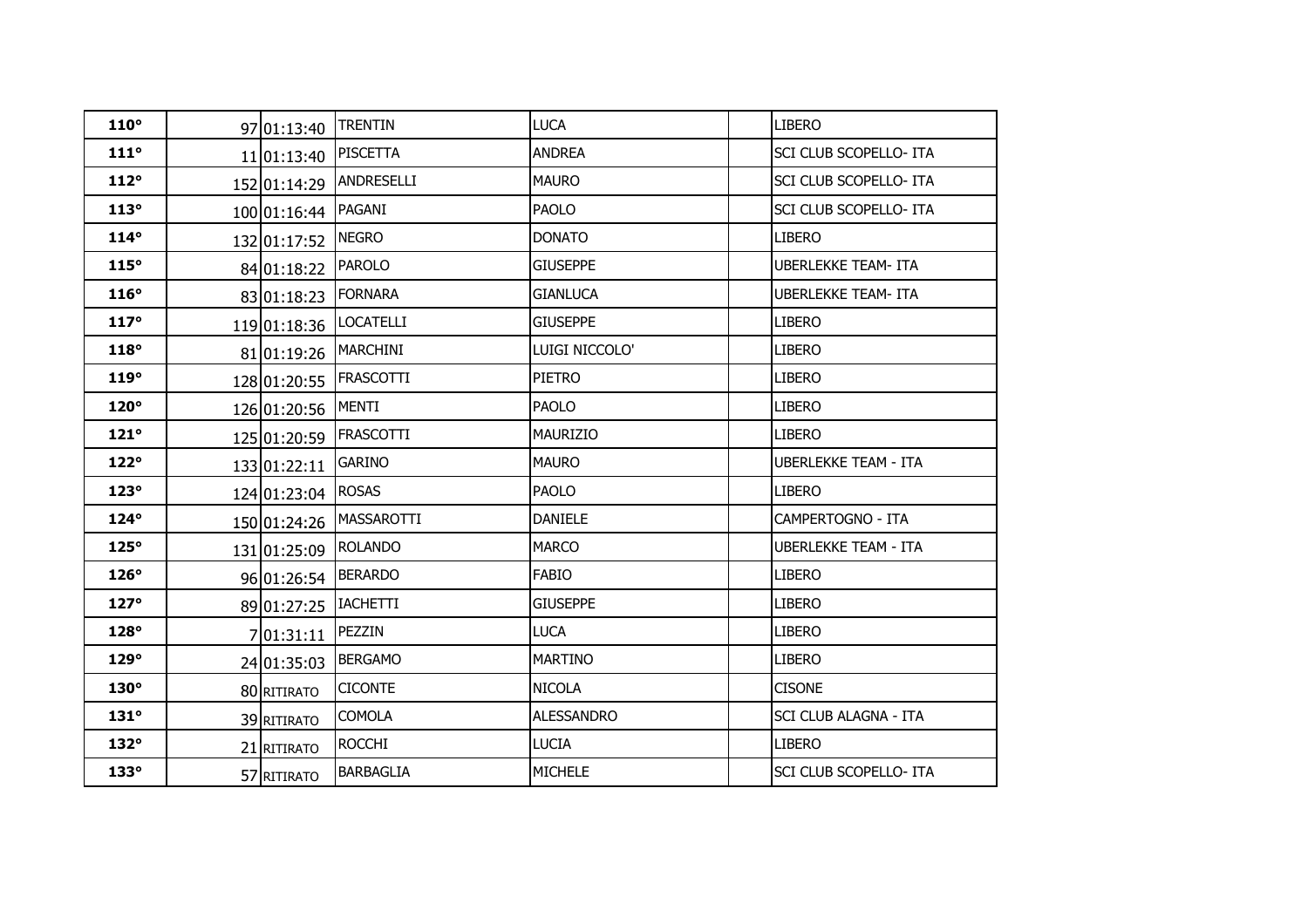| $110^\circ$ | 97 01:13:40        | <b>TRENTIN</b>    | <b>LUCA</b>       | <b>LIBERO</b>                 |
|-------------|--------------------|-------------------|-------------------|-------------------------------|
| $111^\circ$ | 11 01:13:40        | <b>PISCETTA</b>   | <b>ANDREA</b>     | <b>SCI CLUB SCOPELLO- ITA</b> |
| 112°        | 152 01:14:29       | <b>ANDRESELLI</b> | <b>MAURO</b>      | <b>SCI CLUB SCOPELLO- ITA</b> |
| 113°        | 100 01:16:44       | PAGANI            | <b>PAOLO</b>      | SCI CLUB SCOPELLO- ITA        |
| $114^\circ$ | 132 01:17:52       | <b>NEGRO</b>      | <b>DONATO</b>     | <b>LIBERO</b>                 |
| 115°        | 84 01:18:22        | <b>PAROLO</b>     | <b>GIUSEPPE</b>   | <b>UBERLEKKE TEAM- ITA</b>    |
| $116^\circ$ | 83 01:18:23        | <b>FORNARA</b>    | <b>GIANLUCA</b>   | <b>UBERLEKKE TEAM- ITA</b>    |
| $117^\circ$ | 119 01:18:36       | <b>LOCATELLI</b>  | <b>GIUSEPPE</b>   | <b>LIBERO</b>                 |
| $118^\circ$ | 81 01:19:26        | <b>IMARCHINI</b>  | Luigi Niccolo'    | <b>LIBERO</b>                 |
| $119^\circ$ | 128 01:20:55       | <b>IFRASCOTTI</b> | <b>PIETRO</b>     | <b>LIBERO</b>                 |
| $120^\circ$ | 126 01:20:56 MENTI |                   | <b>PAOLO</b>      | <b>LIBERO</b>                 |
| $121^\circ$ | 125 01:20:59       | <b>FRASCOTTI</b>  | <b>MAURIZIO</b>   | <b>LIBERO</b>                 |
| $122^\circ$ | 133 01:22:11       | <b>GARINO</b>     | <b>MAURO</b>      | <b>UBERLEKKE TEAM - ITA</b>   |
| $123^\circ$ | 124 01:23:04       | <b>ROSAS</b>      | <b>PAOLO</b>      | <b>LIBERO</b>                 |
| $124^\circ$ | 150 01:24:26       | <b>MASSAROTTI</b> | <b>DANIELE</b>    | CAMPERTOGNO - ITA             |
| $125^\circ$ | 131 01:25:09       | <b>ROLANDO</b>    | <b>MARCO</b>      | UBERLEKKE TEAM - ITA          |
| $126^\circ$ | 96 01:26:54        | <b>BERARDO</b>    | <b>FABIO</b>      | <b>LIBERO</b>                 |
| $127^\circ$ | 89 01:27:25        | <b>IACHETTI</b>   | <b>GIUSEPPE</b>   | <b>LIBERO</b>                 |
| $128^\circ$ | 7 01:31:11         | PEZZIN            | <b>LUCA</b>       | <b>LIBERO</b>                 |
| $129^\circ$ | 24 01:35:03        | <b>BERGAMO</b>    | <b>MARTINO</b>    | <b>LIBERO</b>                 |
| $130^\circ$ | 80 RITIRATO        | <b>CICONTE</b>    | <b>NICOLA</b>     | <b>CISONE</b>                 |
| $131^\circ$ | 39 RITIRATO        | <b>COMOLA</b>     | <b>ALESSANDRO</b> | SCI CLUB ALAGNA - ITA         |
| $132^\circ$ | 21 RITIRATO        | <b>ROCCHI</b>     | <b>LUCIA</b>      | <b>LIBERO</b>                 |
| $133^\circ$ | 57 RITIRATO        | <b>BARBAGLIA</b>  | <b>MICHELE</b>    | SCI CLUB SCOPELLO- ITA        |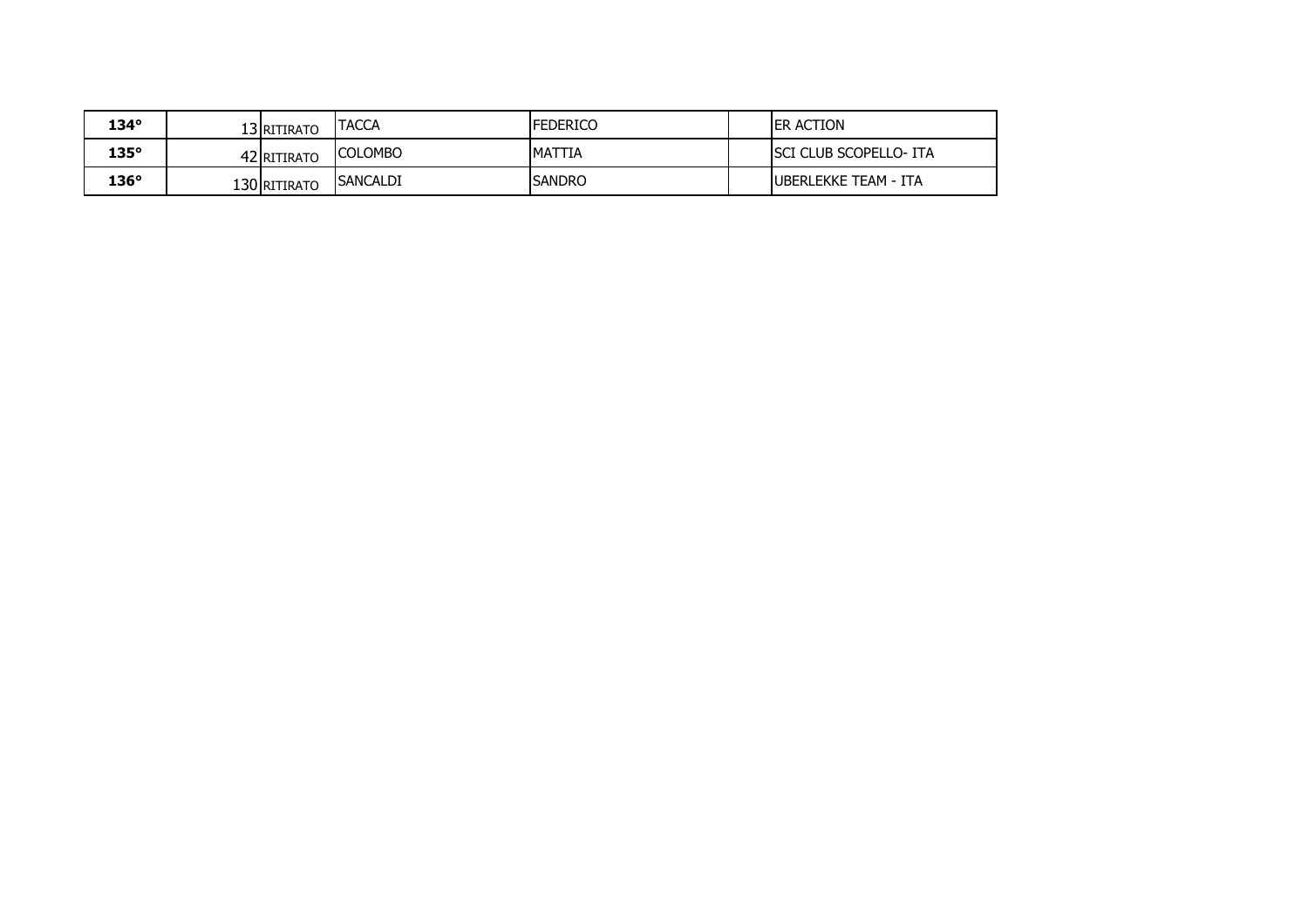| 134°        | 13 RITIRATO  | <b>TACCA</b>    | <b>FEDERICO</b> | <b>IER ACTION</b>              |
|-------------|--------------|-----------------|-----------------|--------------------------------|
| $135^\circ$ | 42 RITIRATO  | <b>COLOMBO</b>  | <b>MATTIA</b>   | <b>ISCI CLUB SCOPELLO- ITA</b> |
| $136^\circ$ | 130 RITIRATO | <b>SANCALDI</b> | <b>SANDRO</b>   | <b>IUBERLEKKE TEAM - ITA</b>   |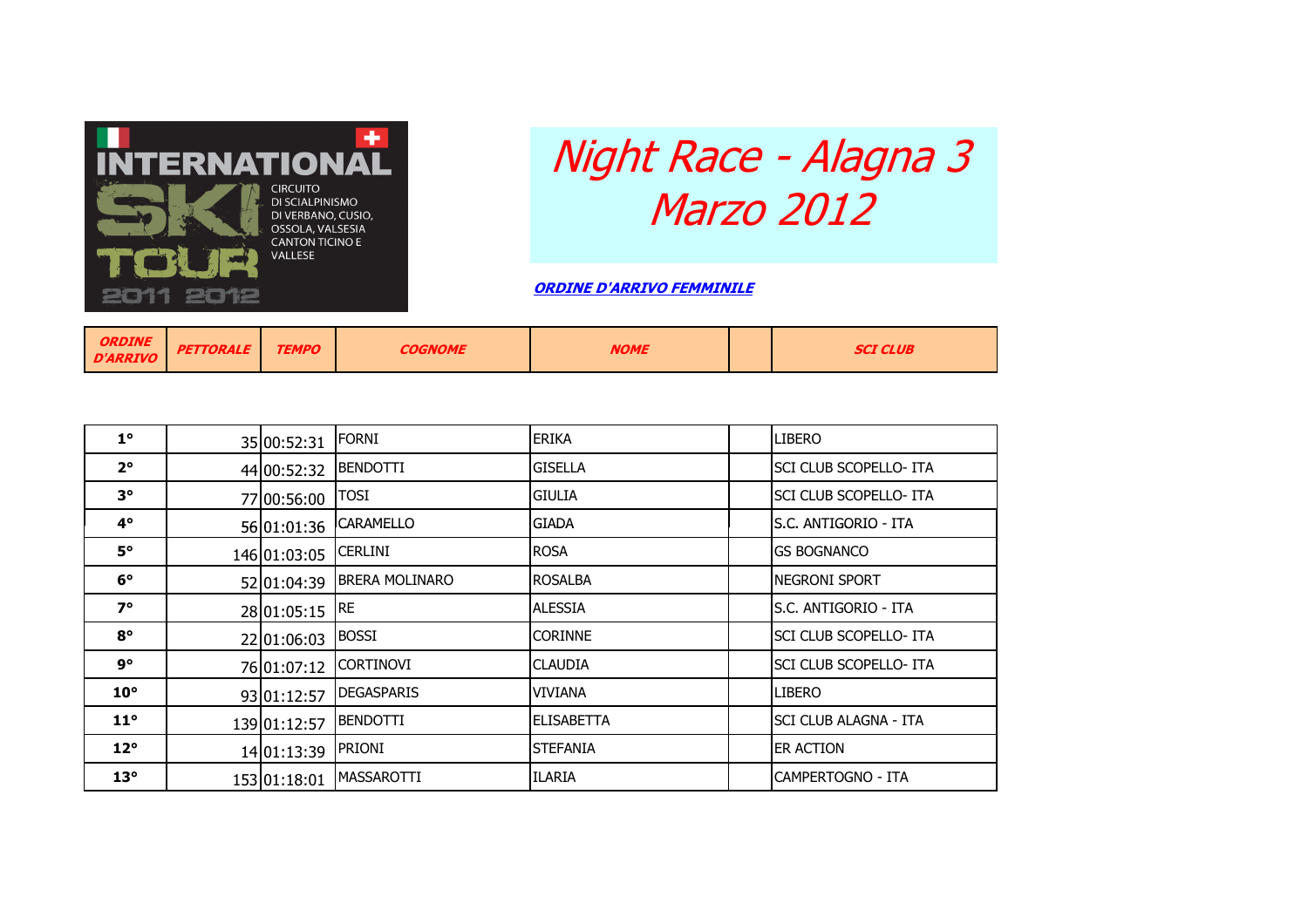

## Night Race - Alagna 3 Marzo 2012

ORDINE D'ARRIVO FEMMINILE

| <b>ORDINE</b><br>D'ARRIVO | <b>PETTORALE</b> | <b>TEMPO</b> | <b>COGNOME</b> | <b>NOME</b> |  | SCI CLUB |
|---------------------------|------------------|--------------|----------------|-------------|--|----------|
|---------------------------|------------------|--------------|----------------|-------------|--|----------|

| $1^{\circ}$  | 35 00:52:31  | <b>FORNI</b>          | <b>ERIKA</b>      | LIBERO                        |
|--------------|--------------|-----------------------|-------------------|-------------------------------|
| $2^{\circ}$  | 44 00:52:32  | <b>BENDOTTI</b>       | <b>GISELLA</b>    | SCI CLUB SCOPELLO- ITA        |
| $3^{\circ}$  | 77 00:56:00  | <b>TOSI</b>           | <b>GIULIA</b>     | SCI CLUB SCOPELLO- ITA        |
| $4^{\circ}$  | 56 01:01:36  | <b>CARAMELLO</b>      | <b>GIADA</b>      | ls.C. ANTIGORIO - ITA         |
| $5^{\circ}$  | 146 01:03:05 | <b>CERLINI</b>        | <b>ROSA</b>       | <b>GS BOGNANCO</b>            |
| $6^{\circ}$  | 52 01:04:39  | <b>BRERA MOLINARO</b> | <b>ROSALBA</b>    | NEGRONI SPORT                 |
| $7^\circ$    | 28 01:05:15  | RE.                   | ALESSIA           | S.C. ANTIGORIO - ITA          |
| $8^{\circ}$  | 22 01:06:03  | <b>BOSSI</b>          | <b>CORINNE</b>    | <b>SCI CLUB SCOPELLO- ITA</b> |
| 9°           | 76 01:07:12  | <b>CORTINOVI</b>      | <b>CLAUDIA</b>    | SCI CLUB SCOPELLO- ITA        |
| $10^{\circ}$ | 93 01:12:57  | <b>DEGASPARIS</b>     | VIVIANA           | <b>LIBERO</b>                 |
| $11^{\circ}$ | 139 01:12:57 | <b>BENDOTTI</b>       | <b>ELISABETTA</b> | SCI CLUB ALAGNA - ITA         |
| $12^{\circ}$ | 14 01:13:39  | <b>PRIONI</b>         | <b>ISTEFANIA</b>  | ER ACTION                     |
| $13^\circ$   | 153 01:18:01 | <b>MASSAROTTI</b>     | <b>ILARIA</b>     | CAMPERTOGNO - ITA             |